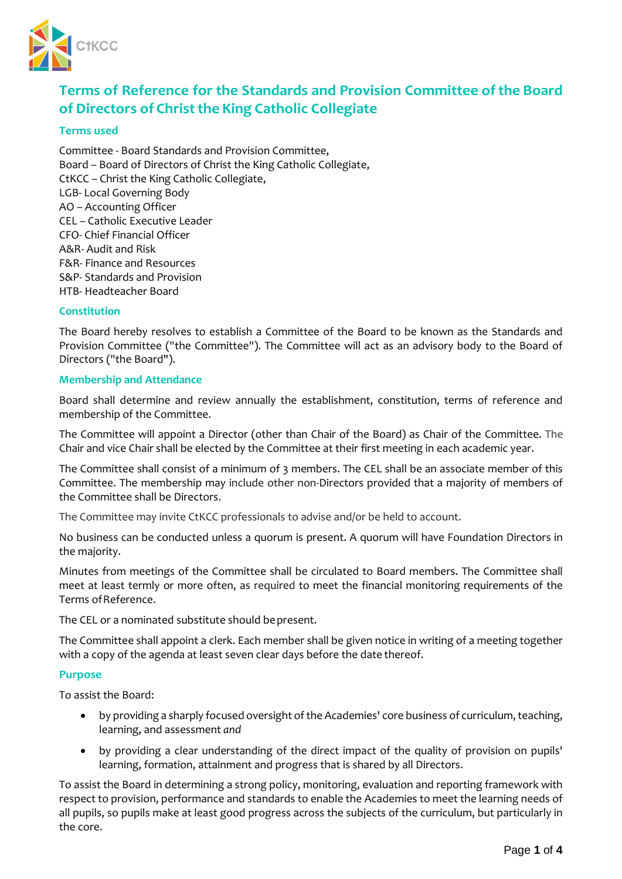

# **Terms of Reference for the Standards and Provision Committee ofthe Board of Directors** of **Christ** the King **Catholic Collegiate**

## **Terms used**

Committee - Board Standards and Provision Committee, Board – Board of Directors of Christ the King Catholic Collegiate, CtKCC – Christ the King Catholic Collegiate, LGB- Local Governing Body AO – Accounting Officer CEL – Catholic Executive Leader CFO- Chief Financial Officer A&R- Audit and Risk F&R- Finance and Resources S&P- Standards and Provision HTB- Headteacher Board

# **Constitution**

The Board hereby resolves to establish a Committee of the Board to be known as the Standards and Provision Committee ("the Committee"). The Committee will act as an advisory body to the Board of Directors ("the Board").

#### **Membership and Attendance**

Board shall determine and review annually the establishment, constitution, terms of reference and membership of the Committee.

The Committee will appoint a Director (other than Chair of the Board) as Chair of the Committee. The Chair and vice Chair shall be elected by the Committee at their first meeting in each academic year.

The Committee shall consist of a minimum of 3 members. The CEL shall be an associate member of this Committee. The membership may include other non-Directors provided that a majority of members of the Committee shall be Directors.

The Committee may invite CtKCC professionals to advise and/or be held to account.

No business can be conducted unless a quorum is present. A quorum will have Foundation Directors in the majority.

Minutes from meetings of the Committee shall be circulated to Board members. The Committee shall meet at least termly or more often, as required to meet the financial monitoring requirements of the Terms of Reference.

The CEL or a nominated substitute should bepresent.

The Committee shall appoint a clerk. Each member shall be given notice in writing of a meeting together with a copy of the agenda at least seven clear days before the date thereof.

#### **Purpose**

To assist the Board:

- by providing a sharply focused oversight of the Academies' core business of curriculum, teaching, learning, and assessment *and*
- by providing a clear understanding of the direct impact of the quality of provision on pupils' learning, formation, attainment and progress that is shared by all Directors.

To assist the Board in determining a strong policy, monitoring, evaluation and reporting framework with respect to provision, performance and standards to enable the Academies to meet the learning needs of all pupils, so pupils make at least good progress across the subjects of the curriculum, but particularly in the core.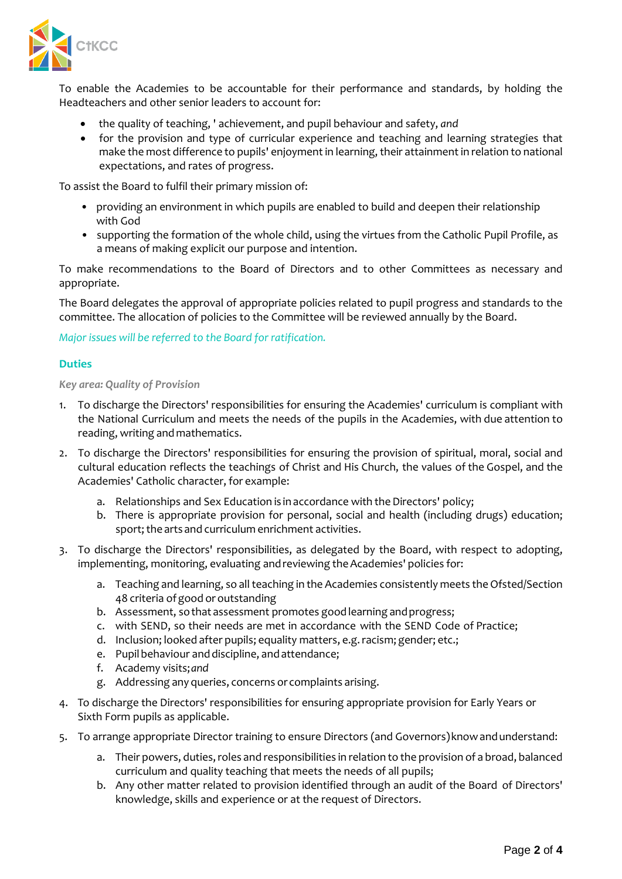

To enable the Academies to be accountable for their performance and standards, by holding the Headteachers and other senior leaders to account for:

- the quality of teaching, ' achievement, and pupil behaviour and safety, *and*
- for the provision and type of curricular experience and teaching and learning strategies that make the most difference to pupils' enjoyment in learning, their attainment in relation to national expectations, and rates of progress.

To assist the Board to fulfil their primary mission of:

- providing an environment in which pupils are enabled to build and deepen their relationship with God
- supporting the formation of the whole child, using the virtues from the Catholic Pupil Profile, as a means of making explicit our purpose and intention.

To make recommendations to the Board of Directors and to other Committees as necessary and appropriate.

The Board delegates the approval of appropriate policies related to pupil progress and standards to the committee. The allocation of policies to the Committee will be reviewed annually by the Board.

*Major issues will be referred to the Board for ratification.*

# **Duties**

## *Key area: Quality of Provision*

- 1. To discharge the Directors' responsibilities for ensuring the Academies' curriculum is compliant with the National Curriculum and meets the needs of the pupils in the Academies, with due attention to reading, writing andmathematics.
- 2. To discharge the Directors' responsibilities for ensuring the provision of spiritual, moral, social and cultural education reflects the teachings of Christ and His Church, the values of the Gospel, and the Academies' Catholic character, for example:
	- a. Relationships and Sex Education is in accordance with the Directors' policy;
	- b. There is appropriate provision for personal, social and health (including drugs) education; sport; the arts and curriculum enrichment activities.
- 3. To discharge the Directors' responsibilities, as delegated by the Board, with respect to adopting, implementing, monitoring, evaluating and reviewing the Academies' policies for:
	- a. Teaching and learning, so all teaching in the Academies consistently meets the Ofsted/Section 48 criteria ofgood or outstanding
	- b. Assessment, sothat assessment promotes goodlearning andprogress;
	- c. with SEND, so their needs are met in accordance with the SEND Code of Practice;
	- d. Inclusion; looked after pupils; equality matters, e.g. racism; gender; etc.;
	- e. Pupilbehaviour anddiscipline, andattendance;
	- f. Academy visits;*and*
	- g. Addressing any queries, concerns or complaints arising.
- 4. To discharge the Directors' responsibilities for ensuring appropriate provision for Early Years or Sixth Form pupils as applicable.
- 5. To arrange appropriate Director training to ensure Directors (and Governors)knowandunderstand:
	- a. Their powers, duties, roles and responsibilities in relation to the provision of a broad, balanced curriculum and quality teaching that meets the needs of all pupils;
	- b. Any other matter related to provision identified through an audit of the Board of Directors' knowledge, skills and experience or at the request of Directors.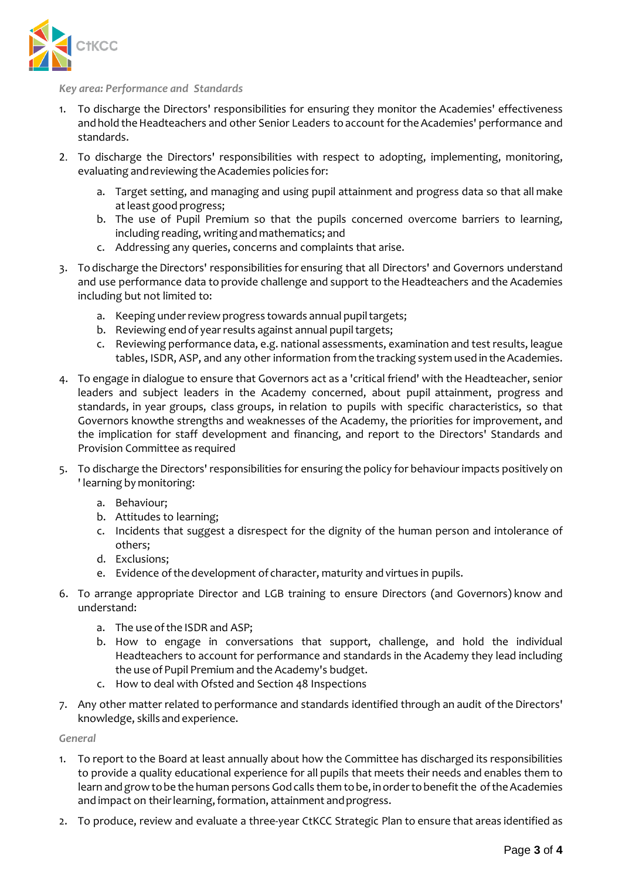

#### *Key area: Performance and Standards*

- 1. To discharge the Directors' responsibilities for ensuring they monitor the Academies' effectiveness and hold the Headteachers and other Senior Leaders to account for the Academies' performance and standards.
- 2. To discharge the Directors' responsibilities with respect to adopting, implementing, monitoring, evaluating and reviewing the Academies policies for:
	- a. Target setting, and managing and using pupil attainment and progress data so that all make atleast good progress;
	- b. The use of Pupil Premium so that the pupils concerned overcome barriers to learning, including reading, writing and mathematics; and
	- c. Addressing any queries, concerns and complaints that arise.
- 3. To discharge the Directors' responsibilities for ensuring that all Directors' and Governors understand and use performance data to provide challenge and support to the Headteachers and the Academies including but not limited to:
	- a. Keeping under review progress towards annual pupil targets;
	- b. Reviewing end of year results against annual pupil targets;
	- c. Reviewing performance data, e.g. national assessments, examination and test results, league tables, ISDR, ASP, and any other information from the tracking system used in the Academies.
- 4. To engage in dialogue to ensure that Governors act as a 'critical friend' with the Headteacher, senior leaders and subject leaders in the Academy concerned, about pupil attainment, progress and standards, in year groups, class groups, in relation to pupils with specific characteristics, so that Governors know the strengths and weaknesses of the Academy, the priorities for improvement, and the implication for staff development and financing, and report to the Directors' Standards and Provision Committee as required
- 5. To discharge the Directors' responsibilities for ensuring the policy for behaviour impacts positively on ' learning by monitoring:
	- a. Behaviour;
	- b. Attitudes to learning;
	- c. Incidents that suggest a disrespect for the dignity of the human person and intolerance of others;
	- d. Exclusions;
	- e. Evidence ofthe development of character, maturity and virtues in pupils.
- 6. To arrange appropriate Director and LGB training to ensure Directors (and Governors) know and understand:
	- a. The use of the ISDR and ASP;
	- b. How to engage in conversations that support, challenge, and hold the individual Headteachers to account for performance and standards in the Academy they lead including the use of Pupil Premium and the Academy's budget.
	- c. How to deal with Ofsted and Section 48 Inspections
- 7. Any other matter related to performance and standards identified through an audit of the Directors' knowledge, skills and experience.

*General*

- 1. To report to the Board at least annually about how the Committee has discharged its responsibilities to provide a quality educational experience for all pupils that meets their needs and enables them to learn and grow to be the human persons God calls them to be, in order to benefit the of the Academies and impact on their learning, formation, attainment and progress.
- 2. To produce, review and evaluate a three-year CtKCC Strategic Plan to ensure that areas identified as